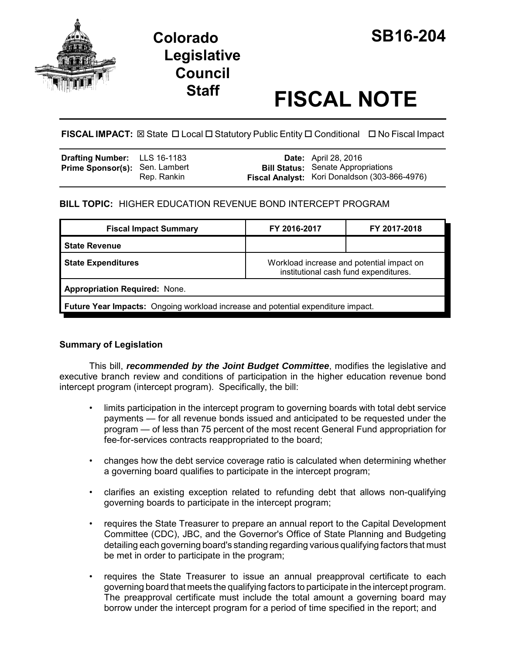

## **Colorado SB16-204 Legislative Council**

# **Staff FISCAL NOTE**

### **FISCAL IMPACT:** ⊠ State **D** Local **D** Statutory Public Entity **D** Conditional **D** No Fiscal Impact

| <b>Drafting Number:</b> LLS 16-1183   |             | <b>Date:</b> April 28, 2016                                                                |
|---------------------------------------|-------------|--------------------------------------------------------------------------------------------|
| <b>Prime Sponsor(s): Sen. Lambert</b> | Rep. Rankin | <b>Bill Status:</b> Senate Appropriations<br>Fiscal Analyst: Kori Donaldson (303-866-4976) |

#### **BILL TOPIC:** HIGHER EDUCATION REVENUE BOND INTERCEPT PROGRAM

| <b>Fiscal Impact Summary</b>                                                            | FY 2016-2017                                                                       | FY 2017-2018 |  |  |  |
|-----------------------------------------------------------------------------------------|------------------------------------------------------------------------------------|--------------|--|--|--|
| <b>State Revenue</b>                                                                    |                                                                                    |              |  |  |  |
| <b>State Expenditures</b>                                                               | Workload increase and potential impact on<br>institutional cash fund expenditures. |              |  |  |  |
| <b>Appropriation Required: None.</b>                                                    |                                                                                    |              |  |  |  |
| <b>Future Year Impacts:</b> Ongoing workload increase and potential expenditure impact. |                                                                                    |              |  |  |  |

#### **Summary of Legislation**

This bill, *recommended by the Joint Budget Committee*, modifies the legislative and executive branch review and conditions of participation in the higher education revenue bond intercept program (intercept program). Specifically, the bill:

- limits participation in the intercept program to governing boards with total debt service payments — for all revenue bonds issued and anticipated to be requested under the program — of less than 75 percent of the most recent General Fund appropriation for fee-for-services contracts reappropriated to the board;
- changes how the debt service coverage ratio is calculated when determining whether a governing board qualifies to participate in the intercept program;
- clarifies an existing exception related to refunding debt that allows non-qualifying governing boards to participate in the intercept program;
- requires the State Treasurer to prepare an annual report to the Capital Development Committee (CDC), JBC, and the Governor's Office of State Planning and Budgeting detailing each governing board's standing regarding various qualifying factors that must be met in order to participate in the program;
- requires the State Treasurer to issue an annual preapproval certificate to each governing board that meets the qualifying factors to participate in the intercept program. The preapproval certificate must include the total amount a governing board may borrow under the intercept program for a period of time specified in the report; and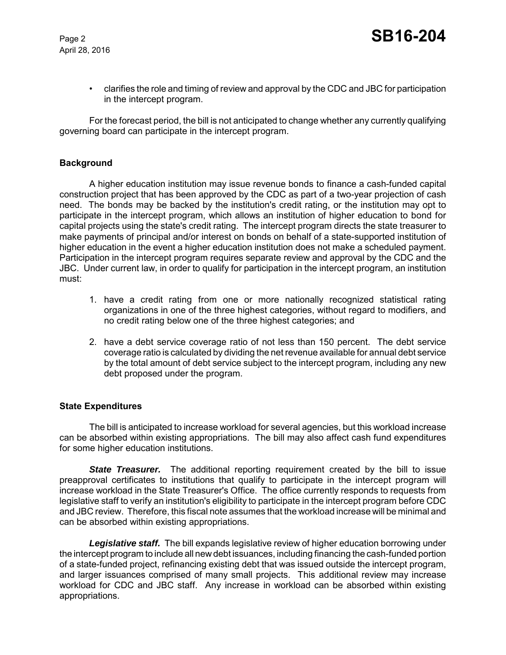April 28, 2016

• clarifies the role and timing of review and approval by the CDC and JBC for participation in the intercept program.

For the forecast period, the bill is not anticipated to change whether any currently qualifying governing board can participate in the intercept program.

#### **Background**

A higher education institution may issue revenue bonds to finance a cash-funded capital construction project that has been approved by the CDC as part of a two-year projection of cash need. The bonds may be backed by the institution's credit rating, or the institution may opt to participate in the intercept program, which allows an institution of higher education to bond for capital projects using the state's credit rating. The intercept program directs the state treasurer to make payments of principal and/or interest on bonds on behalf of a state-supported institution of higher education in the event a higher education institution does not make a scheduled payment. Participation in the intercept program requires separate review and approval by the CDC and the JBC. Under current law, in order to qualify for participation in the intercept program, an institution must:

- 1. have a credit rating from one or more nationally recognized statistical rating organizations in one of the three highest categories, without regard to modifiers, and no credit rating below one of the three highest categories; and
- 2. have a debt service coverage ratio of not less than 150 percent. The debt service coverage ratio is calculated by dividing the net revenue available for annual debt service by the total amount of debt service subject to the intercept program, including any new debt proposed under the program.

#### **State Expenditures**

The bill is anticipated to increase workload for several agencies, but this workload increase can be absorbed within existing appropriations. The bill may also affect cash fund expenditures for some higher education institutions.

**State Treasurer.** The additional reporting requirement created by the bill to issue preapproval certificates to institutions that qualify to participate in the intercept program will increase workload in the State Treasurer's Office. The office currently responds to requests from legislative staff to verify an institution's eligibility to participate in the intercept program before CDC and JBC review. Therefore, this fiscal note assumes that the workload increase will be minimal and can be absorbed within existing appropriations.

*Legislative staff.* The bill expands legislative review of higher education borrowing under the intercept program to include all new debt issuances, including financing the cash-funded portion of a state-funded project, refinancing existing debt that was issued outside the intercept program, and larger issuances comprised of many small projects. This additional review may increase workload for CDC and JBC staff. Any increase in workload can be absorbed within existing appropriations.